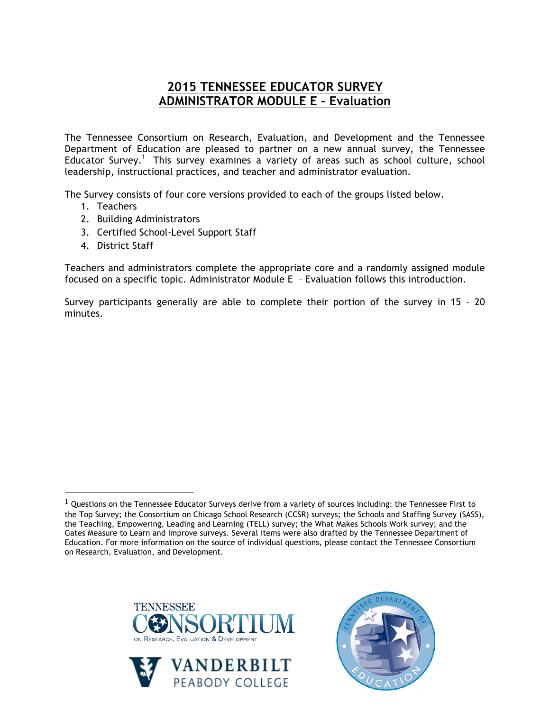## **2015 TENNESSEE EDUCATOR SURVEY ADMINISTRATOR MODULE E – Evaluation**

The Tennessee Consortium on Research, Evaluation, and Development and the Tennessee Department of Education are pleased to partner on a new annual survey, the Tennessee Educator Survey.<sup>1</sup> This survey examines a variety of areas such as school culture, school leadership, instructional practices, and teacher and administrator evaluation.

The Survey consists of four core versions provided to each of the groups listed below.

- 1. Teachers
- 2. Building Administrators
- 3. Certified School-Level Support Staff
- 4. District Staff

!!!!!!!!!!!!!!!!!!!!!!!!!!!!!!!!!!!!!!!!!!!!!!!!!!!!!!!

Teachers and administrators complete the appropriate core and a randomly assigned module focused on a specific topic. Administrator Module E – Evaluation follows this introduction.

Survey participants generally are able to complete their portion of the survey in 15 – 20 minutes.







 $1$  Questions on the Tennessee Educator Surveys derive from a variety of sources including: the Tennessee First to the Top Survey; the Consortium on Chicago School Research (CCSR) surveys; the Schools and Staffing Survey (SASS), the Teaching, Empowering, Leading and Learning (TELL) survey; the What Makes Schools Work survey; and the Gates Measure to Learn and Improve surveys. Several items were also drafted by the Tennessee Department of Education. For more information on the source of individual questions, please contact the Tennessee Consortium on Research, Evaluation, and Development.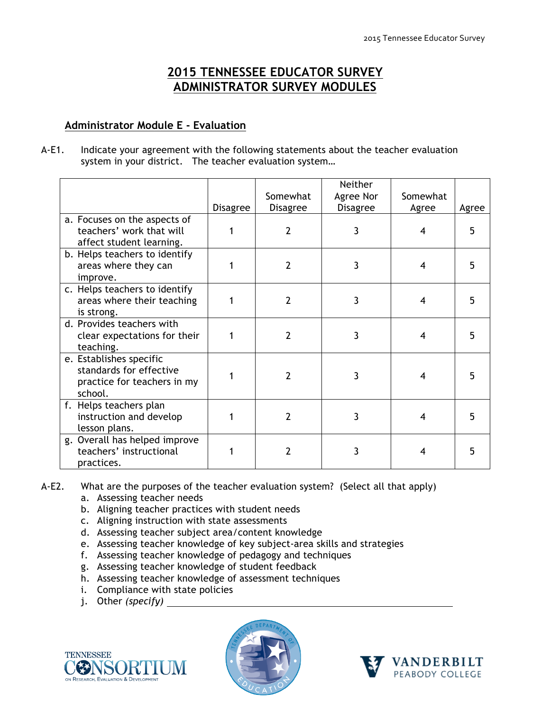## **2015 TENNESSEE EDUCATOR SURVEY ADMINISTRATOR SURVEY MODULES**

## **Administrator Module E - Evaluation**

A-E1. Indicate your agreement with the following statements about the teacher evaluation system in your district. The teacher evaluation system…

|                               |          | Somewhat        | Neither<br>Agree Nor | Somewhat |       |
|-------------------------------|----------|-----------------|----------------------|----------|-------|
|                               | Disagree | <b>Disagree</b> | <b>Disagree</b>      | Agree    | Agree |
| a. Focuses on the aspects of  |          |                 |                      |          |       |
| teachers' work that will      |          | 2               | 3                    |          | 5     |
| affect student learning.      |          |                 |                      |          |       |
| b. Helps teachers to identify |          |                 |                      |          |       |
| areas where they can          |          | 2               | 3                    | 4        | 5     |
| improve.                      |          |                 |                      |          |       |
| c. Helps teachers to identify |          |                 |                      |          |       |
| areas where their teaching    |          | 2               | 3                    | 4        | 5     |
| is strong.                    |          |                 |                      |          |       |
| d. Provides teachers with     |          |                 |                      |          |       |
| clear expectations for their  |          | 2               | 3                    | 4        | 5     |
| teaching.                     |          |                 |                      |          |       |
| e. Establishes specific       |          |                 |                      |          |       |
| standards for effective       |          | 2               | 3                    | 4        |       |
| practice for teachers in my   |          |                 |                      |          |       |
| school.                       |          |                 |                      |          |       |
| f. Helps teachers plan        |          |                 |                      |          |       |
| instruction and develop       |          | $\overline{2}$  | 3                    | 4        |       |
| lesson plans.                 |          |                 |                      |          |       |
| g. Overall has helped improve |          |                 |                      |          |       |
| teachers' instructional       |          | 2               | 3                    | 4        | 5     |
| practices.                    |          |                 |                      |          |       |

## A-E2. What are the purposes of the teacher evaluation system? (Select all that apply)

- a. Assessing teacher needs
- b. Aligning teacher practices with student needs
- c. Aligning instruction with state assessments
- d. Assessing teacher subject area/content knowledge
- e. Assessing teacher knowledge of key subject-area skills and strategies
- f. Assessing teacher knowledge of pedagogy and techniques
- g. Assessing teacher knowledge of student feedback
- h. Assessing teacher knowledge of assessment techniques
- i. Compliance with state policies
- j. Other *(specify)*





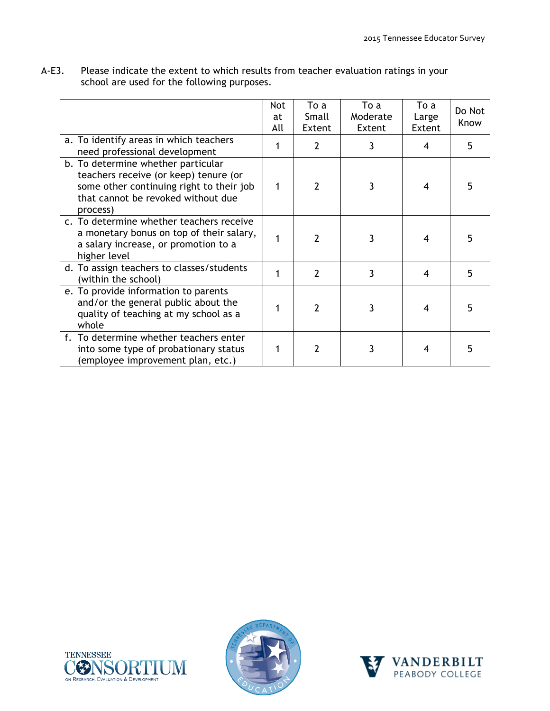| A-E3. | Please indicate the extent to which results from teacher evaluation ratings in your |
|-------|-------------------------------------------------------------------------------------|
|       | school are used for the following purposes.                                         |

|                                                                                                                                                                           | Not<br>at | To a<br>Small  | To a<br>Moderate | To a<br>Large | Do Not<br>Know |
|---------------------------------------------------------------------------------------------------------------------------------------------------------------------------|-----------|----------------|------------------|---------------|----------------|
|                                                                                                                                                                           | All       | Extent         | Extent           | Extent        |                |
| a. To identify areas in which teachers<br>need professional development                                                                                                   |           | $\overline{2}$ | 3                | 4             | 5              |
| b. To determine whether particular<br>teachers receive (or keep) tenure (or<br>some other continuing right to their job<br>that cannot be revoked without due<br>process) | 1         | $\mathcal{P}$  | 3                | 4             |                |
| c. To determine whether teachers receive<br>a monetary bonus on top of their salary,<br>a salary increase, or promotion to a<br>higher level                              |           | $\overline{2}$ | 3                | 4             |                |
| d. To assign teachers to classes/students<br>(within the school)                                                                                                          |           | $\overline{2}$ | 3                | 4             | 5              |
| e. To provide information to parents<br>and/or the general public about the<br>quality of teaching at my school as a<br>whole                                             |           | $\mathcal{P}$  | 3                |               |                |
| f. To determine whether teachers enter<br>into some type of probationary status<br>(employee improvement plan, etc.)                                                      |           | 2              |                  |               |                |





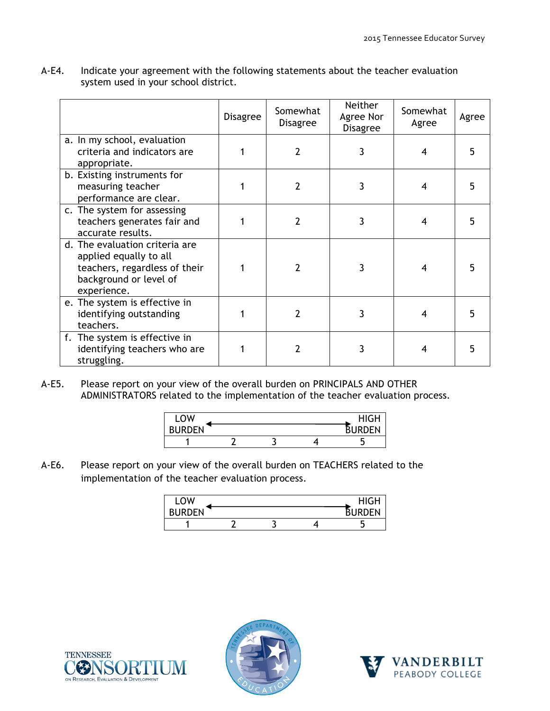|                                                                                                                                    | <b>Disagree</b> | Somewhat<br><b>Disagree</b> | <b>Neither</b><br>Agree Nor<br><b>Disagree</b> | Somewhat<br>Agree | Agree |
|------------------------------------------------------------------------------------------------------------------------------------|-----------------|-----------------------------|------------------------------------------------|-------------------|-------|
| a. In my school, evaluation<br>criteria and indicators are<br>appropriate.                                                         |                 | $\overline{2}$              | 3                                              | 4                 |       |
| b. Existing instruments for<br>measuring teacher<br>performance are clear.                                                         |                 | $\overline{2}$              | 3                                              | 4                 |       |
| c. The system for assessing<br>teachers generates fair and<br>accurate results.                                                    |                 | $\overline{2}$              | 3                                              | 4                 | 5     |
| d. The evaluation criteria are<br>applied equally to all<br>teachers, regardless of their<br>background or level of<br>experience. |                 | $\mathcal{P}$               | 3                                              | 4                 |       |
| e. The system is effective in<br>identifying outstanding<br>teachers.                                                              |                 | 2                           | 3                                              | 4                 |       |
| f. The system is effective in<br>identifying teachers who are<br>struggling.                                                       |                 | 2                           | 3                                              | 4                 |       |

A-E4. Indicate your agreement with the following statements about the teacher evaluation system used in your school district.

A-E5. Please report on your view of the overall burden on PRINCIPALS AND OTHER ADMINISTRATORS related to the implementation of the teacher evaluation process.

| .OW<br>. U.   |  | HIGH               |
|---------------|--|--------------------|
| <b>BURDEN</b> |  | JRDEN<br><b>RI</b> |
|               |  | . .                |

A-E6. Please report on your view of the overall burden on TEACHERS related to the implementation of the teacher evaluation process.

| _OW           |  | <b>HIGH</b>        |
|---------------|--|--------------------|
| <b>BURDEN</b> |  | <b>JRDEN</b><br>RI |
|               |  | ٠                  |